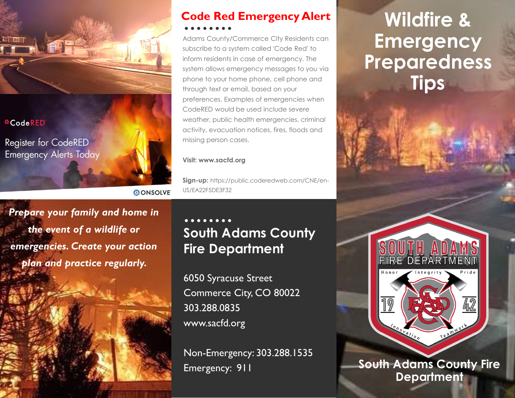

#### <sup>4</sup>CodeRED

Register for CodeRED **Emergency Alerts Today** 

## **Code Red Emergency Alert**

Adams County/Commerce City Residents can subscribe to a system called 'Code Red' to inform residents in case of emergency. The system allows emergency messages to you via phone to your home phone, cell phone and through text or email, based on your preferences. Examples of emergencies when CodeRED would be used include severe weather, public health emergencies, criminal activity, evacuation notices, fires, floods and missing person cases.

#### **Visit: www.sacfd.org**

**AONSOLVE** 

**Sign-up:** https://public.coderedweb.com/CNE/en-US/EA22F5DE3F32

*Prepare your family and home in the event of a wildlife or emergencies. Create your action plan and practice regularly.* 

### **South Adams County Fire Department**

6050 Syracuse Street Commerce City, CO 80022 303.288.0835 www.sacfd.org

Non-Emergency: 303.288.1535 Emergency: 911

## **Wildfire & Emergency Preparedness Tips**



**South Adams County Fire Department**